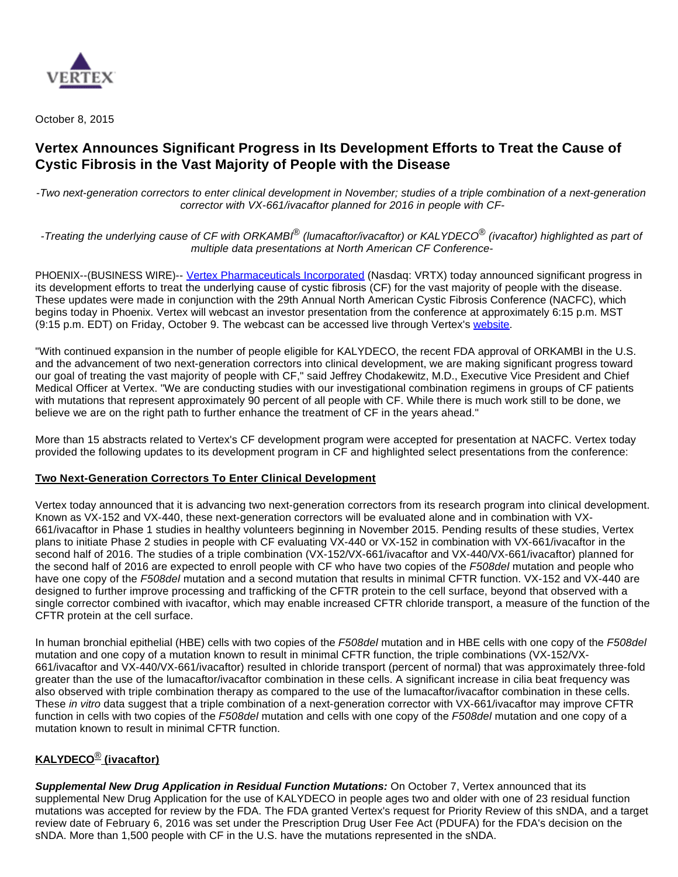

October 8, 2015

# **Vertex Announces Significant Progress in Its Development Efforts to Treat the Cause of Cystic Fibrosis in the Vast Majority of People with the Disease**

-Two next-generation correctors to enter clinical development in November; studies of a triple combination of a next-generation corrector with VX-661/ivacaftor planned for 2016 in people with CF-

-Treating the underlying cause of CF with ORKAMBI® (lumacaftor/ivacaftor) or KALYDECO® (ivacaftor) highlighted as part of multiple data presentations at North American CF Conference-

PHOENIX--(BUSINESS WIRE)-- [Vertex Pharmaceuticals Incorporated](http://cts.businesswire.com/ct/CT?id=smartlink&url=http%3A%2F%2Fwww.vrtx.com%2F&esheet=51197244&newsitemid=20151008005754&lan=en-US&anchor=Vertex+Pharmaceuticals+Incorporated&index=1&md5=a910437a511265a7645fc1ccf884ad01) (Nasdaq: VRTX) today announced significant progress in its development efforts to treat the underlying cause of cystic fibrosis (CF) for the vast majority of people with the disease. These updates were made in conjunction with the 29th Annual North American Cystic Fibrosis Conference (NACFC), which begins today in Phoenix. Vertex will webcast an investor presentation from the conference at approximately 6:15 p.m. MST (9:15 p.m. EDT) on Friday, October 9. The webcast can be accessed live through Vertex's [website](http://cts.businesswire.com/ct/CT?id=smartlink&url=http%3A%2F%2Finvestors.vrtx.com%2Fevents.cfm&esheet=51197244&newsitemid=20151008005754&lan=en-US&anchor=website&index=2&md5=d89d5cb9437b2d9a50ec41d24d976219).

"With continued expansion in the number of people eligible for KALYDECO, the recent FDA approval of ORKAMBI in the U.S. and the advancement of two next-generation correctors into clinical development, we are making significant progress toward our goal of treating the vast majority of people with CF," said Jeffrey Chodakewitz, M.D., Executive Vice President and Chief Medical Officer at Vertex. "We are conducting studies with our investigational combination regimens in groups of CF patients with mutations that represent approximately 90 percent of all people with CF. While there is much work still to be done, we believe we are on the right path to further enhance the treatment of CF in the years ahead."

More than 15 abstracts related to Vertex's CF development program were accepted for presentation at NACFC. Vertex today provided the following updates to its development program in CF and highlighted select presentations from the conference:

#### **Two Next-Generation Correctors To Enter Clinical Development**

Vertex today announced that it is advancing two next-generation correctors from its research program into clinical development. Known as VX-152 and VX-440, these next-generation correctors will be evaluated alone and in combination with VX-661/ivacaftor in Phase 1 studies in healthy volunteers beginning in November 2015. Pending results of these studies, Vertex plans to initiate Phase 2 studies in people with CF evaluating VX-440 or VX-152 in combination with VX-661/ivacaftor in the second half of 2016. The studies of a triple combination (VX-152/VX-661/ivacaftor and VX-440/VX-661/ivacaftor) planned for the second half of 2016 are expected to enroll people with CF who have two copies of the F508del mutation and people who have one copy of the F508del mutation and a second mutation that results in minimal CFTR function. VX-152 and VX-440 are designed to further improve processing and trafficking of the CFTR protein to the cell surface, beyond that observed with a single corrector combined with ivacaftor, which may enable increased CFTR chloride transport, a measure of the function of the CFTR protein at the cell surface.

In human bronchial epithelial (HBE) cells with two copies of the F508del mutation and in HBE cells with one copy of the F508del mutation and one copy of a mutation known to result in minimal CFTR function, the triple combinations (VX-152/VX-661/ivacaftor and VX-440/VX-661/ivacaftor) resulted in chloride transport (percent of normal) that was approximately three-fold greater than the use of the lumacaftor/ivacaftor combination in these cells. A significant increase in cilia beat frequency was also observed with triple combination therapy as compared to the use of the lumacaftor/ivacaftor combination in these cells. These in vitro data suggest that a triple combination of a next-generation corrector with VX-661/ivacaftor may improve CFTR function in cells with two copies of the F508del mutation and cells with one copy of the F508del mutation and one copy of a mutation known to result in minimal CFTR function.

# **KALYDECO**® **(ivacaftor)**

**Supplemental New Drug Application in Residual Function Mutations:** On October 7, Vertex announced that its supplemental New Drug Application for the use of KALYDECO in people ages two and older with one of 23 residual function mutations was accepted for review by the FDA. The FDA granted Vertex's request for Priority Review of this sNDA, and a target review date of February 6, 2016 was set under the Prescription Drug User Fee Act (PDUFA) for the FDA's decision on the sNDA. More than 1,500 people with CF in the U.S. have the mutations represented in the sNDA.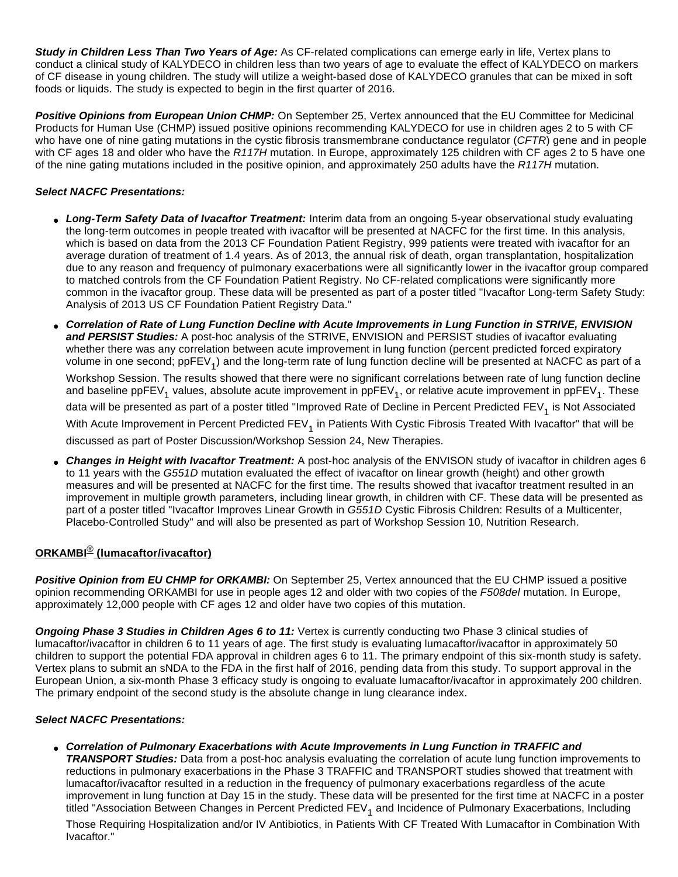**Study in Children Less Than Two Years of Age:** As CF-related complications can emerge early in life, Vertex plans to conduct a clinical study of KALYDECO in children less than two years of age to evaluate the effect of KALYDECO on markers of CF disease in young children. The study will utilize a weight-based dose of KALYDECO granules that can be mixed in soft foods or liquids. The study is expected to begin in the first quarter of 2016.

**Positive Opinions from European Union CHMP:** On September 25, Vertex announced that the EU Committee for Medicinal Products for Human Use (CHMP) issued positive opinions recommending KALYDECO for use in children ages 2 to 5 with CF who have one of nine gating mutations in the cystic fibrosis transmembrane conductance regulator (CFTR) gene and in people with CF ages 18 and older who have the R117H mutation. In Europe, approximately 125 children with CF ages 2 to 5 have one of the nine gating mutations included in the positive opinion, and approximately 250 adults have the R117H mutation.

## **Select NACFC Presentations:**

- **Long-Term Safety Data of Ivacaftor Treatment:** Interim data from an ongoing 5-year observational study evaluating the long-term outcomes in people treated with ivacaftor will be presented at NACFC for the first time. In this analysis, which is based on data from the 2013 CF Foundation Patient Registry, 999 patients were treated with ivacaftor for an average duration of treatment of 1.4 years. As of 2013, the annual risk of death, organ transplantation, hospitalization due to any reason and frequency of pulmonary exacerbations were all significantly lower in the ivacaftor group compared to matched controls from the CF Foundation Patient Registry. No CF-related complications were significantly more common in the ivacaftor group. These data will be presented as part of a poster titled "Ivacaftor Long-term Safety Study: Analysis of 2013 US CF Foundation Patient Registry Data."
- **Correlation of Rate of Lung Function Decline with Acute Improvements in Lung Function in STRIVE, ENVISION and PERSIST Studies:** A post-hoc analysis of the STRIVE, ENVISION and PERSIST studies of ivacaftor evaluating whether there was any correlation between acute improvement in lung function (percent predicted forced expiratory volume in one second; ppFEV<sub>1</sub>) and the long-term rate of lung function decline will be presented at NACFC as part of a

Workshop Session. The results showed that there were no significant correlations between rate of lung function decline and baseline ppFEV<sub>1</sub> values, absolute acute improvement in ppFEV<sub>1</sub>, or relative acute improvement in ppFEV<sub>1</sub>. These data will be presented as part of a poster titled "Improved Rate of Decline in Percent Predicted FEV<sub>1</sub> is Not Associated With Acute Improvement in Percent Predicted FEV<sub>1</sub> in Patients With Cystic Fibrosis Treated With Ivacaftor" that will be discussed as part of Poster Discussion/Workshop Session 24, New Therapies.

**Changes in Height with Ivacaftor Treatment:** A post-hoc analysis of the ENVISON study of ivacaftor in children ages 6 to 11 years with the G551D mutation evaluated the effect of ivacaftor on linear growth (height) and other growth measures and will be presented at NACFC for the first time. The results showed that ivacaftor treatment resulted in an improvement in multiple growth parameters, including linear growth, in children with CF. These data will be presented as part of a poster titled "Ivacaftor Improves Linear Growth in G551D Cystic Fibrosis Children: Results of a Multicenter, Placebo-Controlled Study" and will also be presented as part of Workshop Session 10, Nutrition Research.

# **ORKAMBI**® **(lumacaftor/ivacaftor)**

**Positive Opinion from EU CHMP for ORKAMBI:** On September 25, Vertex announced that the EU CHMP issued a positive opinion recommending ORKAMBI for use in people ages 12 and older with two copies of the F508del mutation. In Europe, approximately 12,000 people with CF ages 12 and older have two copies of this mutation.

**Ongoing Phase 3 Studies in Children Ages 6 to 11:** Vertex is currently conducting two Phase 3 clinical studies of lumacaftor/ivacaftor in children 6 to 11 years of age. The first study is evaluating lumacaftor/ivacaftor in approximately 50 children to support the potential FDA approval in children ages 6 to 11. The primary endpoint of this six-month study is safety. Vertex plans to submit an sNDA to the FDA in the first half of 2016, pending data from this study. To support approval in the European Union, a six-month Phase 3 efficacy study is ongoing to evaluate lumacaftor/ivacaftor in approximately 200 children. The primary endpoint of the second study is the absolute change in lung clearance index.

# **Select NACFC Presentations:**

● **Correlation of Pulmonary Exacerbations with Acute Improvements in Lung Function in TRAFFIC and** 

**TRANSPORT Studies:** Data from a post-hoc analysis evaluating the correlation of acute lung function improvements to reductions in pulmonary exacerbations in the Phase 3 TRAFFIC and TRANSPORT studies showed that treatment with lumacaftor/ivacaftor resulted in a reduction in the frequency of pulmonary exacerbations regardless of the acute improvement in lung function at Day 15 in the study. These data will be presented for the first time at NACFC in a poster titled "Association Between Changes in Percent Predicted FEV<sub>1</sub> and Incidence of Pulmonary Exacerbations, Including

Those Requiring Hospitalization and/or IV Antibiotics, in Patients With CF Treated With Lumacaftor in Combination With Ivacaftor."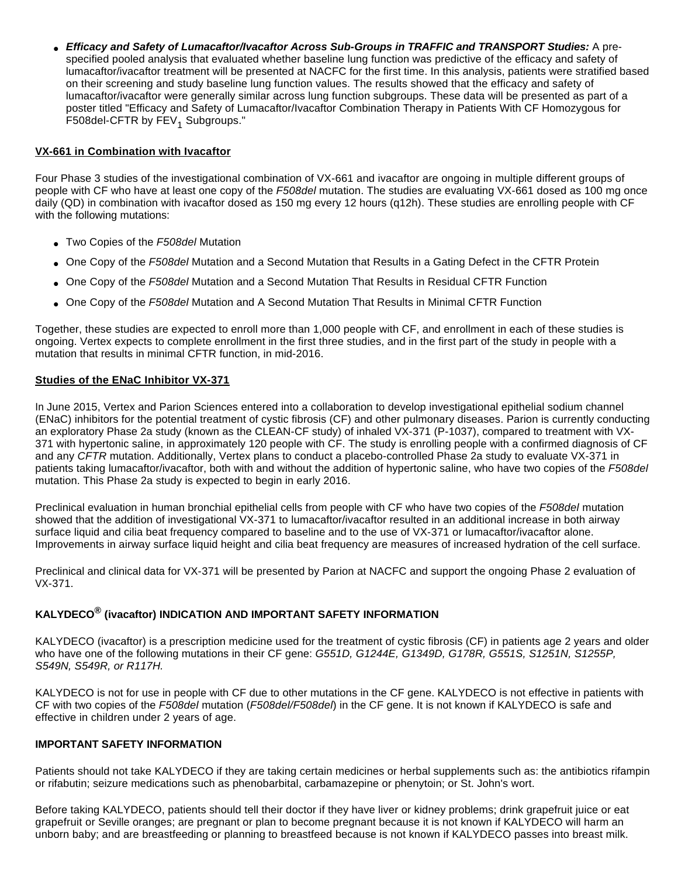● **Efficacy and Safety of Lumacaftor/Ivacaftor Across Sub-Groups in TRAFFIC and TRANSPORT Studies:** A prespecified pooled analysis that evaluated whether baseline lung function was predictive of the efficacy and safety of lumacaftor/ivacaftor treatment will be presented at NACFC for the first time. In this analysis, patients were stratified based on their screening and study baseline lung function values. The results showed that the efficacy and safety of lumacaftor/ivacaftor were generally similar across lung function subgroups. These data will be presented as part of a poster titled "Efficacy and Safety of Lumacaftor/Ivacaftor Combination Therapy in Patients With CF Homozygous for F508del-CFTR by FEV<sub>1</sub> Subgroups."

# **VX-661 in Combination with Ivacaftor**

Four Phase 3 studies of the investigational combination of VX-661 and ivacaftor are ongoing in multiple different groups of people with CF who have at least one copy of the F508del mutation. The studies are evaluating VX-661 dosed as 100 mg once daily (QD) in combination with ivacaftor dosed as 150 mg every 12 hours (q12h). These studies are enrolling people with CF with the following mutations:

- Two Copies of the F508del Mutation
- One Copy of the F508del Mutation and a Second Mutation that Results in a Gating Defect in the CFTR Protein
- One Copy of the F508del Mutation and a Second Mutation That Results in Residual CFTR Function
- One Copy of the F508del Mutation and A Second Mutation That Results in Minimal CFTR Function

Together, these studies are expected to enroll more than 1,000 people with CF, and enrollment in each of these studies is ongoing. Vertex expects to complete enrollment in the first three studies, and in the first part of the study in people with a mutation that results in minimal CFTR function, in mid-2016.

## **Studies of the ENaC Inhibitor VX-371**

In June 2015, Vertex and Parion Sciences entered into a collaboration to develop investigational epithelial sodium channel (ENaC) inhibitors for the potential treatment of cystic fibrosis (CF) and other pulmonary diseases. Parion is currently conducting an exploratory Phase 2a study (known as the CLEAN-CF study) of inhaled VX-371 (P-1037), compared to treatment with VX-371 with hypertonic saline, in approximately 120 people with CF. The study is enrolling people with a confirmed diagnosis of CF and any CFTR mutation. Additionally, Vertex plans to conduct a placebo-controlled Phase 2a study to evaluate VX-371 in patients taking lumacaftor/ivacaftor, both with and without the addition of hypertonic saline, who have two copies of the F508del mutation. This Phase 2a study is expected to begin in early 2016.

Preclinical evaluation in human bronchial epithelial cells from people with CF who have two copies of the F508del mutation showed that the addition of investigational VX-371 to lumacaftor/ivacaftor resulted in an additional increase in both airway surface liquid and cilia beat frequency compared to baseline and to the use of VX-371 or lumacaftor/ivacaftor alone. Improvements in airway surface liquid height and cilia beat frequency are measures of increased hydration of the cell surface.

Preclinical and clinical data for VX-371 will be presented by Parion at NACFC and support the ongoing Phase 2 evaluation of VX-371.

#### **KALYDECO® (ivacaftor) INDICATION AND IMPORTANT SAFETY INFORMATION**

KALYDECO (ivacaftor) is a prescription medicine used for the treatment of cystic fibrosis (CF) in patients age 2 years and older who have one of the following mutations in their CF gene: G551D, G1244E, G1349D, G178R, G551S, S1251N, S1255P, S549N, S549R, or R117H.

KALYDECO is not for use in people with CF due to other mutations in the CF gene. KALYDECO is not effective in patients with CF with two copies of the F508del mutation (F508del/F508del) in the CF gene. It is not known if KALYDECO is safe and effective in children under 2 years of age.

## **IMPORTANT SAFETY INFORMATION**

Patients should not take KALYDECO if they are taking certain medicines or herbal supplements such as: the antibiotics rifampin or rifabutin; seizure medications such as phenobarbital, carbamazepine or phenytoin; or St. John's wort.

Before taking KALYDECO, patients should tell their doctor if they have liver or kidney problems; drink grapefruit juice or eat grapefruit or Seville oranges; are pregnant or plan to become pregnant because it is not known if KALYDECO will harm an unborn baby; and are breastfeeding or planning to breastfeed because is not known if KALYDECO passes into breast milk.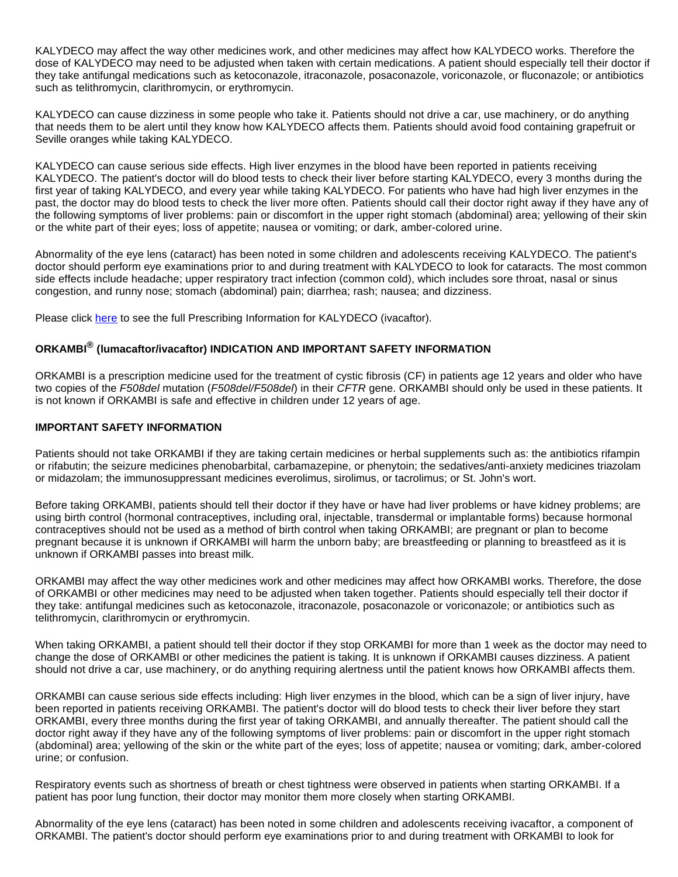KALYDECO may affect the way other medicines work, and other medicines may affect how KALYDECO works. Therefore the dose of KALYDECO may need to be adjusted when taken with certain medications. A patient should especially tell their doctor if they take antifungal medications such as ketoconazole, itraconazole, posaconazole, voriconazole, or fluconazole; or antibiotics such as telithromycin, clarithromycin, or erythromycin.

KALYDECO can cause dizziness in some people who take it. Patients should not drive a car, use machinery, or do anything that needs them to be alert until they know how KALYDECO affects them. Patients should avoid food containing grapefruit or Seville oranges while taking KALYDECO.

KALYDECO can cause serious side effects. High liver enzymes in the blood have been reported in patients receiving KALYDECO. The patient's doctor will do blood tests to check their liver before starting KALYDECO, every 3 months during the first year of taking KALYDECO, and every year while taking KALYDECO. For patients who have had high liver enzymes in the past, the doctor may do blood tests to check the liver more often. Patients should call their doctor right away if they have any of the following symptoms of liver problems: pain or discomfort in the upper right stomach (abdominal) area; yellowing of their skin or the white part of their eyes; loss of appetite; nausea or vomiting; or dark, amber-colored urine.

Abnormality of the eye lens (cataract) has been noted in some children and adolescents receiving KALYDECO. The patient's doctor should perform eye examinations prior to and during treatment with KALYDECO to look for cataracts. The most common side effects include headache; upper respiratory tract infection (common cold), which includes sore throat, nasal or sinus congestion, and runny nose; stomach (abdominal) pain; diarrhea; rash; nausea; and dizziness.

Please click [here](http://cts.businesswire.com/ct/CT?id=smartlink&url=http%3A%2F%2Fpi.vrtx.com%2Ffiles%2Fuspi_ivacaftor.pdf&esheet=51197244&newsitemid=20151008005754&lan=en-US&anchor=here&index=3&md5=f8e4cf098623a3072b1a18d46348d97b) to see the full Prescribing Information for KALYDECO (ivacaftor).

# **ORKAMBI® (lumacaftor/ivacaftor) INDICATION AND IMPORTANT SAFETY INFORMATION**

ORKAMBI is a prescription medicine used for the treatment of cystic fibrosis (CF) in patients age 12 years and older who have two copies of the F508del mutation (F508del/F508del) in their CFTR gene. ORKAMBI should only be used in these patients. It is not known if ORKAMBI is safe and effective in children under 12 years of age.

#### **IMPORTANT SAFETY INFORMATION**

Patients should not take ORKAMBI if they are taking certain medicines or herbal supplements such as: the antibiotics rifampin or rifabutin; the seizure medicines phenobarbital, carbamazepine, or phenytoin; the sedatives/anti-anxiety medicines triazolam or midazolam; the immunosuppressant medicines everolimus, sirolimus, or tacrolimus; or St. John's wort.

Before taking ORKAMBI, patients should tell their doctor if they have or have had liver problems or have kidney problems; are using birth control (hormonal contraceptives, including oral, injectable, transdermal or implantable forms) because hormonal contraceptives should not be used as a method of birth control when taking ORKAMBI; are pregnant or plan to become pregnant because it is unknown if ORKAMBI will harm the unborn baby; are breastfeeding or planning to breastfeed as it is unknown if ORKAMBI passes into breast milk.

ORKAMBI may affect the way other medicines work and other medicines may affect how ORKAMBI works. Therefore, the dose of ORKAMBI or other medicines may need to be adjusted when taken together. Patients should especially tell their doctor if they take: antifungal medicines such as ketoconazole, itraconazole, posaconazole or voriconazole; or antibiotics such as telithromycin, clarithromycin or erythromycin.

When taking ORKAMBI, a patient should tell their doctor if they stop ORKAMBI for more than 1 week as the doctor may need to change the dose of ORKAMBI or other medicines the patient is taking. It is unknown if ORKAMBI causes dizziness. A patient should not drive a car, use machinery, or do anything requiring alertness until the patient knows how ORKAMBI affects them.

ORKAMBI can cause serious side effects including: High liver enzymes in the blood, which can be a sign of liver injury, have been reported in patients receiving ORKAMBI. The patient's doctor will do blood tests to check their liver before they start ORKAMBI, every three months during the first year of taking ORKAMBI, and annually thereafter. The patient should call the doctor right away if they have any of the following symptoms of liver problems: pain or discomfort in the upper right stomach (abdominal) area; yellowing of the skin or the white part of the eyes; loss of appetite; nausea or vomiting; dark, amber-colored urine; or confusion.

Respiratory events such as shortness of breath or chest tightness were observed in patients when starting ORKAMBI. If a patient has poor lung function, their doctor may monitor them more closely when starting ORKAMBI.

Abnormality of the eye lens (cataract) has been noted in some children and adolescents receiving ivacaftor, a component of ORKAMBI. The patient's doctor should perform eye examinations prior to and during treatment with ORKAMBI to look for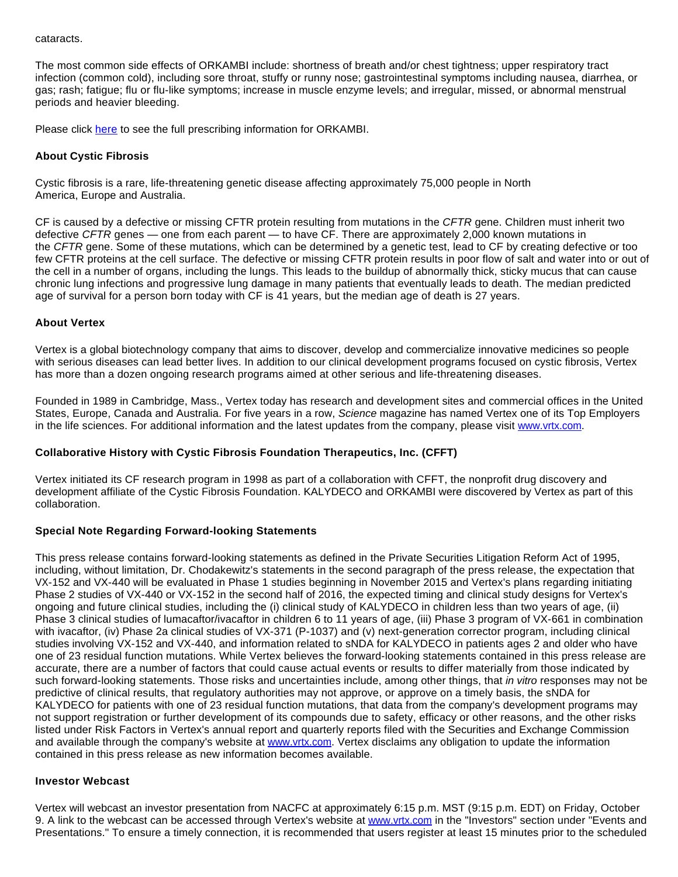cataracts.

The most common side effects of ORKAMBI include: shortness of breath and/or chest tightness; upper respiratory tract infection (common cold), including sore throat, stuffy or runny nose; gastrointestinal symptoms including nausea, diarrhea, or gas; rash; fatigue; flu or flu-like symptoms; increase in muscle enzyme levels; and irregular, missed, or abnormal menstrual periods and heavier bleeding.

Please click [here](http://cts.businesswire.com/ct/CT?id=smartlink&url=http%3A%2F%2Fpi.vrtx.com%2Ffiles%2Fuspi_lumacaftor_ivacaftor.pdf&esheet=51197244&newsitemid=20151008005754&lan=en-US&anchor=here&index=4&md5=703294083c1bed54f148a9b21be877f8) to see the full prescribing information for ORKAMBI.

## **About Cystic Fibrosis**

Cystic fibrosis is a rare, life-threatening genetic disease affecting approximately 75,000 people in North America, Europe and Australia.

CF is caused by a defective or missing CFTR protein resulting from mutations in the CFTR gene. Children must inherit two defective CFTR genes — one from each parent — to have CF. There are approximately 2,000 known mutations in the CFTR gene. Some of these mutations, which can be determined by a genetic test, lead to CF by creating defective or too few CFTR proteins at the cell surface. The defective or missing CFTR protein results in poor flow of salt and water into or out of the cell in a number of organs, including the lungs. This leads to the buildup of abnormally thick, sticky mucus that can cause chronic lung infections and progressive lung damage in many patients that eventually leads to death. The median predicted age of survival for a person born today with CF is 41 years, but the median age of death is 27 years.

## **About Vertex**

Vertex is a global biotechnology company that aims to discover, develop and commercialize innovative medicines so people with serious diseases can lead better lives. In addition to our clinical development programs focused on cystic fibrosis, Vertex has more than a dozen ongoing research programs aimed at other serious and life-threatening diseases.

Founded in 1989 in Cambridge, Mass., Vertex today has research and development sites and commercial offices in the United States, Europe, Canada and Australia. For five years in a row, Science magazine has named Vertex one of its Top Employers in the life sciences. For additional information and the latest updates from the company, please visit [www.vrtx.com](http://cts.businesswire.com/ct/CT?id=smartlink&url=http%3A%2F%2Fwww.vrtx.com&esheet=51197244&newsitemid=20151008005754&lan=en-US&anchor=www.vrtx.com&index=5&md5=72832d27361f61a8e6c00bf89c4d0009).

#### **Collaborative History with Cystic Fibrosis Foundation Therapeutics, Inc. (CFFT)**

Vertex initiated its CF research program in 1998 as part of a collaboration with CFFT, the nonprofit drug discovery and development affiliate of the Cystic Fibrosis Foundation. KALYDECO and ORKAMBI were discovered by Vertex as part of this collaboration.

#### **Special Note Regarding Forward-looking Statements**

This press release contains forward-looking statements as defined in the Private Securities Litigation Reform Act of 1995, including, without limitation, Dr. Chodakewitz's statements in the second paragraph of the press release, the expectation that VX-152 and VX-440 will be evaluated in Phase 1 studies beginning in November 2015 and Vertex's plans regarding initiating Phase 2 studies of VX-440 or VX-152 in the second half of 2016, the expected timing and clinical study designs for Vertex's ongoing and future clinical studies, including the (i) clinical study of KALYDECO in children less than two years of age, (ii) Phase 3 clinical studies of lumacaftor/ivacaftor in children 6 to 11 years of age, (iii) Phase 3 program of VX-661 in combination with ivacaftor, (iv) Phase 2a clinical studies of VX-371 (P-1037) and (v) next-generation corrector program, including clinical studies involving VX-152 and VX-440, and information related to sNDA for KALYDECO in patients ages 2 and older who have one of 23 residual function mutations. While Vertex believes the forward-looking statements contained in this press release are accurate, there are a number of factors that could cause actual events or results to differ materially from those indicated by such forward-looking statements. Those risks and uncertainties include, among other things, that in vitro responses may not be predictive of clinical results, that regulatory authorities may not approve, or approve on a timely basis, the sNDA for KALYDECO for patients with one of 23 residual function mutations, that data from the company's development programs may not support registration or further development of its compounds due to safety, efficacy or other reasons, and the other risks listed under Risk Factors in Vertex's annual report and quarterly reports filed with the Securities and Exchange Commission and available through the company's website at [www.vrtx.com](http://cts.businesswire.com/ct/CT?id=smartlink&url=http%3A%2F%2Fwww.vrtx.com%2F&esheet=51197244&newsitemid=20151008005754&lan=en-US&anchor=www.vrtx.com&index=6&md5=9cc2df339815358a10686c8eff8c7fbd). Vertex disclaims any obligation to update the information contained in this press release as new information becomes available.

#### **Investor Webcast**

Vertex will webcast an investor presentation from NACFC at approximately 6:15 p.m. MST (9:15 p.m. EDT) on Friday, October 9. A link to the webcast can be accessed through Vertex's website at [www.vrtx.com](http://cts.businesswire.com/ct/CT?id=smartlink&url=http%3A%2F%2Fwww.vrtx.com&esheet=51197244&newsitemid=20151008005754&lan=en-US&anchor=www.vrtx.com&index=7&md5=31c54fe89247f02ff2d1a05a75d70d8d) in the "Investors" section under "Events and Presentations." To ensure a timely connection, it is recommended that users register at least 15 minutes prior to the scheduled